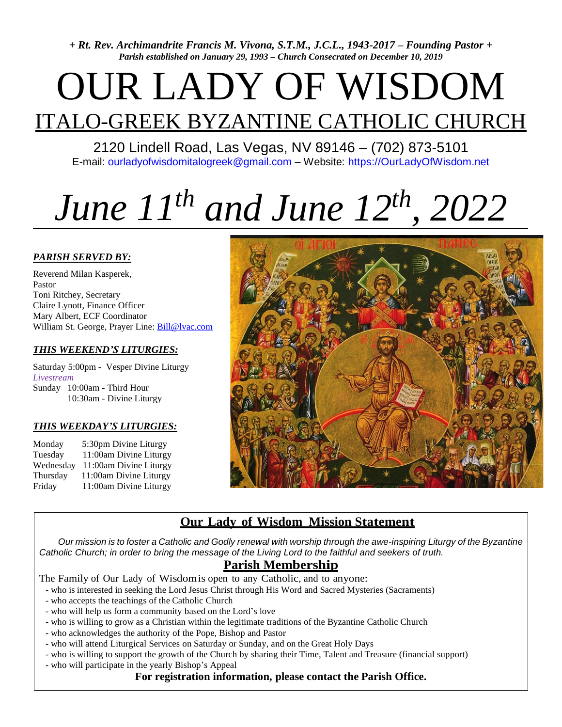*+ Rt. Rev. Archimandrite Francis M. Vivona, S.T.M., J.C.L., 1943-2017 – Founding Pastor + Parish established on January 29, 1993 – Church Consecrated on December 10, 2019*

# OUR LADY OF WISDOM ITALO-GREEK BYZANTINE CATHOLIC CHURCH

2120 Lindell Road, Las Vegas, NV 89146 – (702) 873-5101 E-mail: [ourladyofwisdomitalogreek@gmail.com](mailto:ourladyofwisdomitalogreek@gmail.com) – Website: [https://OurLadyOfWisdom.net](https://ourladyofwisdom.net/)

# *June 11th and June 12th , 2022*

#### *PARISH SERVED BY:*

Reverend Milan Kasperek, Pastor Toni Ritchey, Secretary Claire Lynott, Finance Officer Mary Albert, ECF Coordinator William St. George, Prayer Line: [Bill@lvac.com](mailto:Bill@lvac.com)

#### *THIS WEEKEND'S LITURGIES:*

Saturday 5:00pm - Vesper Divine Liturgy *Livestream* Sunday 10:00am - Third Hour 10:30am - Divine Liturgy

#### *THIS WEEKDAY'S LITURGIES:*

Monday 5:30pm Divine Liturgy Tuesday 11:00am Divine Liturgy Wednesday 11:00am Divine Liturgy Thursday 11:00am Divine Liturgy Friday 11:00am Divine Liturgy



## **Our Lady of Wisdom Mission Statement**

Our mission is to foster a Catholic and Godly renewal with worship through the awe-inspiring Liturgy of the Byzantine Catholic Church; in order to bring the message of the Living Lord to the faithful and seekers of truth.

## **Parish Membership**

The Family of Our Lady of Wisdomis open to any Catholic, and to anyone:

- who is interested in seeking the Lord Jesus Christ through His Word and Sacred Mysteries (Sacraments)
- who accepts the teachings of the Catholic Church
- who will help us form a community based on the Lord's love
- who is willing to grow as a Christian within the legitimate traditions of the Byzantine Catholic Church
- who acknowledges the authority of the Pope, Bishop and Pastor
- who will attend Liturgical Services on Saturday or Sunday, and on the Great Holy Days
- who is willing to support the growth of the Church by sharing their Time, Talent and Treasure (financial support)
- who will participate in the yearly Bishop's Appeal

#### **For registration information, please contact the Parish Office.**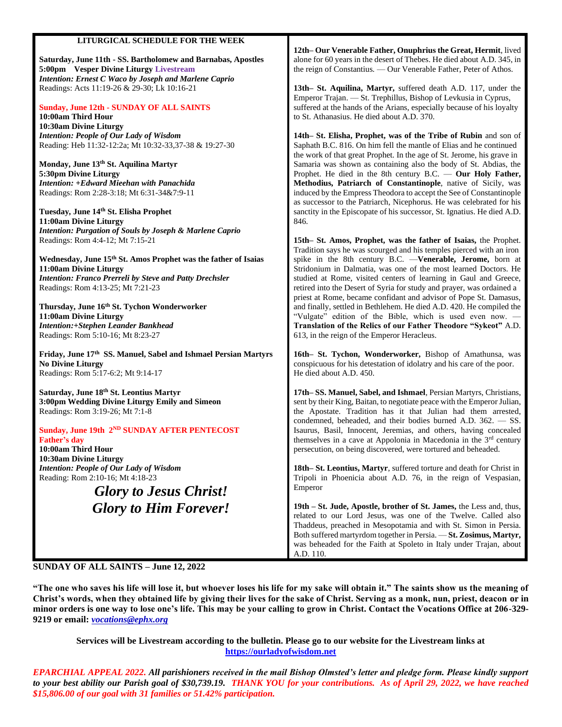#### **LITURGICAL SCHEDULE FOR THE WEEK**

**Saturday, June 11th - SS. Bartholomew and Barnabas, Apostles 5:00pm Vesper Divine Liturgy Livestream**  *Intention: Ernest C Waco by Joseph and Marlene Caprio*  Readings: Acts 11:19-26 & 29-30; Lk 10:16-21

#### **Sunday, June 12th - SUNDAY OF ALL SAINTS**

**10:00am Third Hour 10:30am Divine Liturgy**  *Intention: People of Our Lady of Wisdom* Reading: Heb 11:32-12:2a; Mt 10:32-33,37-38 & 19:27-30

**Monday, June 13th St. Aquilina Martyr 5:30pm Divine Liturgy**  *Intention: +Edward Mieehan with Panachida* Readings: Rom 2:28-3:18; Mt 6:31-34&7:9-11

**Tuesday***,* **June 14th St. Elisha Prophet 11:00am Divine Liturgy** *Intention: Purgation of Souls by Joseph & Marlene Caprio* Readings: Rom 4:4-12; Mt 7:15-21

**Wednesday, June 15th St. Amos Prophet was the father of Isaias 11:00am Divine Liturgy**  *Intention: Franco Prerreli by Steve and Patty Drechsler*  Readings: Rom 4:13-25; Mt 7:21-23

**Thursday, June 16th St. Tychon Wonderworker 11:00am Divine Liturgy**  *Intention:+Stephen Leander Bankhead* Readings: Rom 5:10-16; Mt 8:23-27

**Friday, June 17th SS. Manuel, Sabel and Ishmael Persian Martyrs No Divine Liturgy**  Readings: Rom 5:17-6:2; Mt 9:14-17

**Saturday, June 18th St. Leontius Martyr 3:00pm Wedding Divine Liturgy Emily and Simeon**  Readings: Rom 3:19-26; Mt 7:1-8

**Sunday, June 19th 2<sup>ND</sup> SUNDAY AFTER PENTECOST Father's day 10:00am Third Hour 10:30am Divine Liturgy**

*Intention: People of Our Lady of Wisdom* Reading: Rom 2:10-16; Mt 4:18-23

*Glory to Jesus Christ! Glory to Him Forever!*

**12th– Our Venerable Father, Onuphrius the Great, Hermit**, lived alone for 60 years in the desert of Thebes. He died about A.D. 345, in the reign of Constantius. — Our Venerable Father, Peter of Athos.

**13th– St. Aquilina, Martyr,** suffered death A.D. 117, under the Emperor Trajan. — St. Trephillus, Bishop of Levkusia in Cyprus, suffered at the hands of the Arians, especially because of his loyalty to St. Athanasius. He died about A.D. 370.

**14th– St. Elisha, Prophet, was of the Tribe of Rubin** and son of Saphath B.C. 816. On him fell the mantle of Elias and he continued the work of that great Prophet. In the age of St. Jerome, his grave in Samaria was shown as containing also the body of St. Abdias, the Prophet. He died in the 8th century B.C. — **Our Holy Father, Methodius, Patriarch of Constantinople**, native of Sicily, was induced by the Empress Theodora to accept the See of Constantinople as successor to the Patriarch, Nicephorus. He was celebrated for his sanctity in the Episcopate of his successor, St. Ignatius. He died A.D. 846.

**15th– St. Amos, Prophet, was the father of Isaias,** the Prophet. Tradition says he was scourged and his temples pierced with an iron spike in the 8th century B.C. —**Venerable, Jerome,** born at Stridonium in Dalmatia, was one of the most learned Doctors. He studied at Rome, visited centers of learning in Gaul and Greece, retired into the Desert of Syria for study and prayer, was ordained a priest at Rome, became confidant and advisor of Pope St. Damasus, and finally, settled in Bethlehem. He died A.D. 420. He compiled the "Vulgate" edition of the Bible, which is used even now. — **Translation of the Relics of our Father Theodore "Sykeot"** A.D. 613, in the reign of the Emperor Heracleus.

**16th– St. Tychon, Wonderworker,** Bishop of Amathunsa, was conspicuous for his detestation of idolatry and his care of the poor. He died about A.D. 450.

**17th– SS. Manuel, Sabel, and Ishmael**, Persian Martyrs, Christians, sent by their King, Baitan, to negotiate peace with the Emperor Julian, the Apostate. Tradition has it that Julian had them arrested, condemned, beheaded, and their bodies burned A.D. 362. — SS. Isaurus, Basil, Innocent, Jeremias, and others, having concealed themselves in a cave at Appolonia in Macedonia in the 3<sup>rd</sup> century persecution, on being discovered, were tortured and beheaded.

**18th– St. Leontius, Martyr**, suffered torture and death for Christ in Tripoli in Phoenicia about A.D. 76, in the reign of Vespasian, Emperor

**19th – St. Jude, Apostle, brother of St. James,** the Less and, thus, related to our Lord Jesus, was one of the Twelve. Called also Thaddeus, preached in Mesopotamia and with St. Simon in Persia. Both suffered martyrdom together in Persia. — **St. Zosimus, Martyr,** was beheaded for the Faith at Spoleto in Italy under Trajan, about A.D. 110.

#### **SUNDAY OF ALL SAINTS – June 12, 2022**

**"The one who saves his life will lose it, but whoever loses his life for my sake will obtain it." The saints show us the meaning of Christ's words, when they obtained life by giving their lives for the sake of Christ. Serving as a monk, nun, priest, deacon or in minor orders is one way to lose one's life. This may be your calling to grow in Christ. Contact the Vocations Office at 206-329- 9219 or email:** *[vocations@ephx.org](mailto:vocations@ephx.org)*

**Services will be Livestream according to the bulletin. Please go to our website for the Livestream links at [https://ourladyofwisdom.net](https://ourladyofwisdom.net/)**

*EPARCHIAL APPEAL 2022. All parishioners received in the mail Bishop Olmsted's letter and pledge form. Please kindly support to your best ability our Parish goal of \$30,739.19. THANK YOU for your contributions. As of April 29, 2022, we have reached \$15,806.00 of our goal with 31 families or 51.42% participation.*